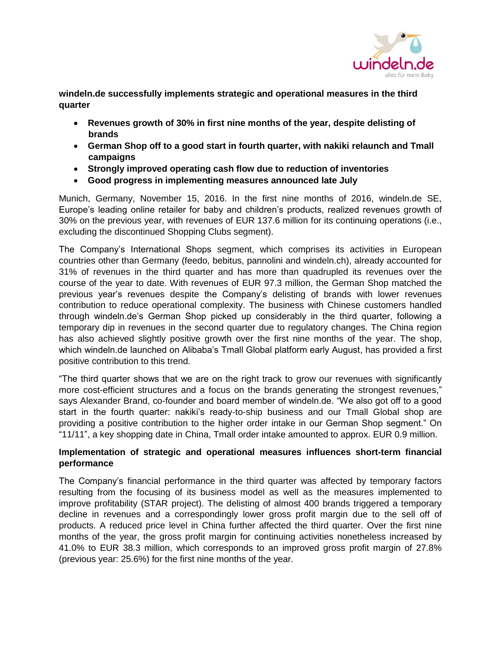

**windeln.de successfully implements strategic and operational measures in the third quarter**

- **Revenues growth of 30% in first nine months of the year, despite delisting of brands**
- **German Shop off to a good start in fourth quarter, with nakiki relaunch and Tmall campaigns**
- **Strongly improved operating cash flow due to reduction of inventories**
- **Good progress in implementing measures announced late July**

Munich, Germany, November 15, 2016. In the first nine months of 2016, windeln.de SE, Europe's leading online retailer for baby and children's products, realized revenues growth of 30% on the previous year, with revenues of EUR 137.6 million for its continuing operations (i.e., excluding the discontinued Shopping Clubs segment).

The Company's International Shops segment, which comprises its activities in European countries other than Germany (feedo, bebitus, pannolini and windeln.ch), already accounted for 31% of revenues in the third quarter and has more than quadrupled its revenues over the course of the year to date. With revenues of EUR 97.3 million, the German Shop matched the previous year's revenues despite the Company's delisting of brands with lower revenues contribution to reduce operational complexity. The business with Chinese customers handled through windeln.de's German Shop picked up considerably in the third quarter, following a temporary dip in revenues in the second quarter due to regulatory changes. The China region has also achieved slightly positive growth over the first nine months of the year. The shop, which windeln.de launched on Alibaba's Tmall Global platform early August, has provided a first positive contribution to this trend.

"The third quarter shows that we are on the right track to grow our revenues with significantly more cost-efficient structures and a focus on the brands generating the strongest revenues," says Alexander Brand, co-founder and board member of windeln.de. "We also got off to a good start in the fourth quarter: nakiki's ready-to-ship business and our Tmall Global shop are providing a positive contribution to the higher order intake in our German Shop segment." On "11/11", a key shopping date in China, Tmall order intake amounted to approx. EUR 0.9 million.

## **Implementation of strategic and operational measures influences short-term financial performance**

The Company's financial performance in the third quarter was affected by temporary factors resulting from the focusing of its business model as well as the measures implemented to improve profitability (STAR project). The delisting of almost 400 brands triggered a temporary decline in revenues and a correspondingly lower gross profit margin due to the sell off of products. A reduced price level in China further affected the third quarter. Over the first nine months of the year, the gross profit margin for continuing activities nonetheless increased by 41.0% to EUR 38.3 million, which corresponds to an improved gross profit margin of 27.8% (previous year: 25.6%) for the first nine months of the year.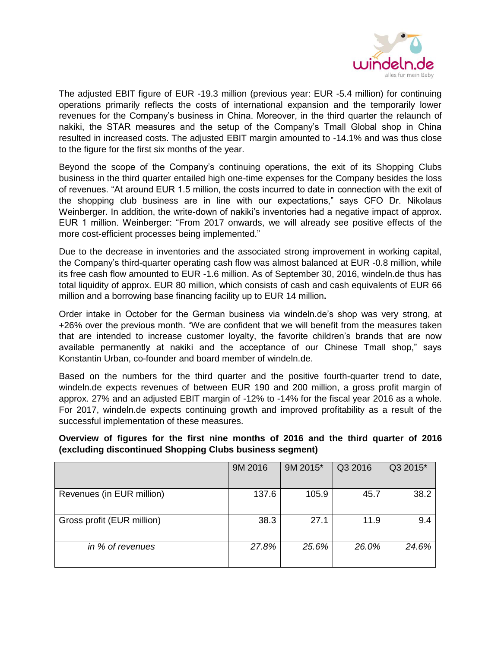

The adjusted EBIT figure of EUR -19.3 million (previous year: EUR -5.4 million) for continuing operations primarily reflects the costs of international expansion and the temporarily lower revenues for the Company's business in China. Moreover, in the third quarter the relaunch of nakiki, the STAR measures and the setup of the Company's Tmall Global shop in China resulted in increased costs. The adjusted EBIT margin amounted to -14.1% and was thus close to the figure for the first six months of the year.

Beyond the scope of the Company's continuing operations, the exit of its Shopping Clubs business in the third quarter entailed high one-time expenses for the Company besides the loss of revenues. "At around EUR 1.5 million, the costs incurred to date in connection with the exit of the shopping club business are in line with our expectations," says CFO Dr. Nikolaus Weinberger. In addition, the write-down of nakiki's inventories had a negative impact of approx. EUR 1 million. Weinberger: "From 2017 onwards, we will already see positive effects of the more cost-efficient processes being implemented."

Due to the decrease in inventories and the associated strong improvement in working capital, the Company's third-quarter operating cash flow was almost balanced at EUR -0.8 million, while its free cash flow amounted to EUR -1.6 million. As of September 30, 2016, windeln.de thus has total liquidity of approx. EUR 80 million, which consists of cash and cash equivalents of EUR 66 million and a borrowing base financing facility up to EUR 14 million**.**

Order intake in October for the German business via windeln.de's shop was very strong, at +26% over the previous month. "We are confident that we will benefit from the measures taken that are intended to increase customer loyalty, the favorite children's brands that are now available permanently at nakiki and the acceptance of our Chinese Tmall shop," says Konstantin Urban, co-founder and board member of windeln.de.

Based on the numbers for the third quarter and the positive fourth-quarter trend to date, windeln.de expects revenues of between EUR 190 and 200 million, a gross profit margin of approx. 27% and an adjusted EBIT margin of -12% to -14% for the fiscal year 2016 as a whole. For 2017, windeln.de expects continuing growth and improved profitability as a result of the successful implementation of these measures.

|  |  |  |  | Overview of figures for the first nine months of 2016 and the third quarter of 2016 |  |  |  |  |
|--|--|--|--|-------------------------------------------------------------------------------------|--|--|--|--|
|  |  |  |  | (excluding discontinued Shopping Clubs business segment)                            |  |  |  |  |

|                            | 9M 2016 | 9M 2015* | Q3 2016 | Q3 2015* |
|----------------------------|---------|----------|---------|----------|
| Revenues (in EUR million)  | 137.6   | 105.9    | 45.7    | 38.2     |
| Gross profit (EUR million) | 38.3    | 27.1     | 11.9    | 9.4      |
| in % of revenues           | 27.8%   | 25.6%    | 26.0%   | 24.6%    |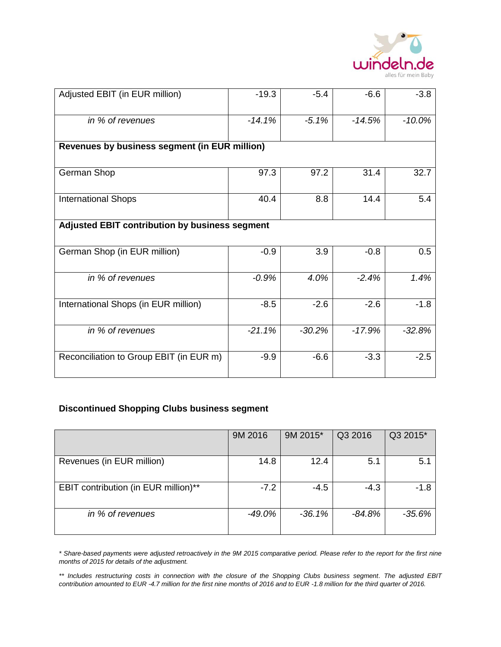

| Adjusted EBIT (in EUR million)                 | $-19.3$  | $-5.4$   | $-6.6$   | $-3.8$   |  |  |  |  |
|------------------------------------------------|----------|----------|----------|----------|--|--|--|--|
| in % of revenues                               | $-14.1%$ | $-5.1%$  | $-14.5%$ | $-10.0%$ |  |  |  |  |
| Revenues by business segment (in EUR million)  |          |          |          |          |  |  |  |  |
| German Shop                                    | 97.3     | 97.2     | 31.4     | 32.7     |  |  |  |  |
| <b>International Shops</b>                     | 40.4     | 8.8      | 14.4     | 5.4      |  |  |  |  |
| Adjusted EBIT contribution by business segment |          |          |          |          |  |  |  |  |
| German Shop (in EUR million)                   | $-0.9$   | 3.9      | $-0.8$   | 0.5      |  |  |  |  |
| in % of revenues                               | $-0.9%$  | 4.0%     | $-2.4%$  | 1.4%     |  |  |  |  |
| International Shops (in EUR million)           | $-8.5$   | $-2.6$   | $-2.6$   | $-1.8$   |  |  |  |  |
| in % of revenues                               | $-21.1%$ | $-30.2%$ | $-17.9%$ | $-32.8%$ |  |  |  |  |
| Reconciliation to Group EBIT (in EUR m)        | $-9.9$   | $-6.6$   | $-3.3$   | $-2.5$   |  |  |  |  |

## **Discontinued Shopping Clubs business segment**

|                                      | 9M 2016  | 9M 2015* | Q3 2016  | Q3 2015* |
|--------------------------------------|----------|----------|----------|----------|
|                                      |          |          |          |          |
| Revenues (in EUR million)            | 14.8     | 12.4     | 5.1      | 5.1      |
|                                      |          |          |          |          |
| EBIT contribution (in EUR million)** | $-7.2$   | $-4.5$   | $-4.3$   | $-1.8$   |
|                                      |          |          |          |          |
| in % of revenues                     | $-49.0%$ | $-36.1%$ | $-84.8%$ | -35.6%   |
|                                      |          |          |          |          |

*\* Share-based payments were adjusted retroactively in the 9M 2015 comparative period. Please refer to the report for the first nine months of 2015 for details of the adjustment.*

*\*\* Includes restructuring costs in connection with the closure of the Shopping Clubs business segment. The adjusted EBIT contribution amounted to EUR -4.7 million for the first nine months of 2016 and to EUR -1.8 million for the third quarter of 2016.*